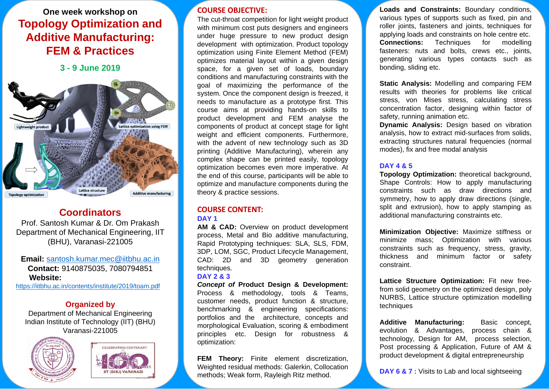# **One week workshop on Topology Optimization and Additive Manufacturing: FEM & Practices**

**3 - 9 June 2019**



# **Coordinators**

Prof. Santosh Kumar & Dr. Om Prakash Department of Mechanical Engineering, IIT (BHU), Varanasi-221005

**Email:** [santosh.kumar.mec@iitbhu.ac.in](mailto:santosh.kumar.mec@iitbhu.ac.in) **Contact:** 9140875035, 7080794851 **Website:**  <https://iitbhu.ac.in/contents/institute/2019/toam.pdf>

**Organized by**

Department of Mechanical Engineering Indian Institute of Technology (IIT) (BHU) Varanasi-221005





#### **COURSE OBJECTIVE:**

The cut-throat competition for light weight product with minimum cost puts designers and engineers under huge pressure to new product design development with optimization. Product topology optimization using Finite Element Method (FEM) optimizes material layout within a given design space, for a given set of loads, boundary conditions and manufacturing constraints with the goal of maximizing the performance of the system. Once the component design is freezed, it needs to manufacture as a prototype first. This course aims at providing hands-on skills to product development and FEM analyse the components of product at concept stage for light weight and efficient components. Furthermore, with the advent of new technology such as 3D printing (Additive Manufacturing), wherein any complex shape can be printed easily, topology optimization becomes even more imperative. At the end of this course, participants will be able to optimize and manufacture components during the theory & practice sessions.

### **COURSE CONTENT:**

#### **DAY 1**

**AM & CAD:** Overview on product development process, Metal and Bio additive manufacturing, Rapid Prototyping techniques: SLA, SLS, FDM, 3DP, LOM, SGC, Product Lifecycle Management, CAD: 2D and 3D geometry generation techniques.

#### **DAY 2 & 3**

*Concept of* **Product Design & Development:** Process & methodology, tools & Teams, customer needs, product function & structure, benchmarking & engineering specifications: portfolios and the architecture, concepts and morphological Evaluation, scoring & embodiment principles etc. Design for robustness & optimization:

**FEM Theory:** Finite element discretization, Weighted residual methods: Galerkin, Collocation methods; Weak form, Rayleigh Ritz method.

**Loads and Constraints:** Boundary conditions, various types of supports such as fixed, pin and roller joints, fasteners and joints, techniques for applying loads and constraints on hole centre etc.<br> **Connections:** Techniques for modelling **Connections:** Techniques for modelling fasteners: nuts and bolts, crews etc., joints, generating various types contacts such as bonding, sliding etc.

**Static Analysis:** Modelling and comparing FEM results with theories for problems like critical stress, von Mises stress, calculating stress concentration factor, designing within factor of safety, running animation etc.

**Dynamic Analysis:** Design based on vibration analysis, how to extract mid-surfaces from solids, extracting structures natural frequencies (normal modes), fix and free modal analysis

#### **DAY 4 & 5**

**Topology Optimization:** theoretical background, Shape Controls: How to apply manufacturing constraints such as draw directions and symmetry, how to apply draw directions (single, split and extrusion), how to apply stamping as additional manufacturing constraints etc.

**Minimization Objective:** Maximize stiffness or minimize mass; Optimization with various constraints such as frequency, stress, gravity, thickness and minimum factor or safety constraint.

**Lattice Structure Optimization:** Fit new freefrom solid geometry on the optimized design, poly NURBS, Lattice structure optimization modelling techniques

**Additive Manufacturing:** Basic concept, evolution & Advantages, process chain & technology, Design for AM, process selection, Post processing & Application, Future of AM & product development & digital entrepreneurship

**DAY 6 & 7 :** Visits to Lab and local sightseeing